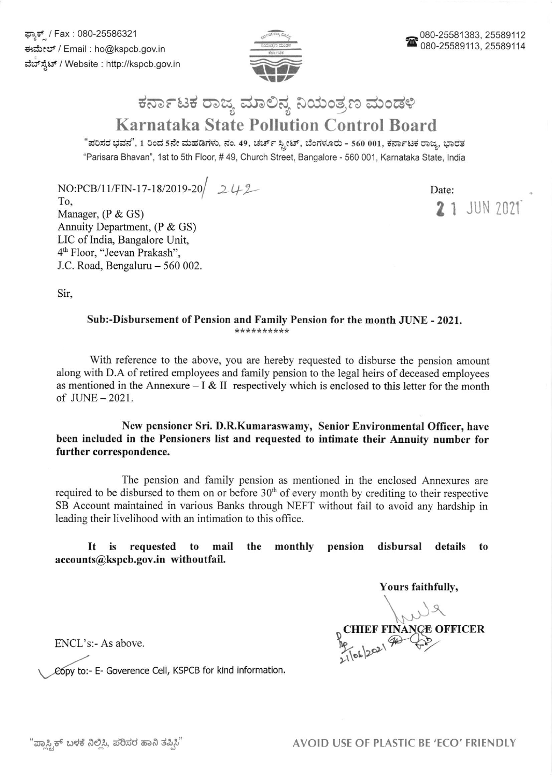

## ಕರ್ನಾಟಕ ರಾಜ್ಯ ಮಾಲಿನ್ಯ ನಿಯಂತ್ರಣ ಮಂಡಳಿ Karnataka State Pollution Control Board

"ಪರಿಸರ ಭವನ", 1 ರಿಂದ 5ನೇ ಮಹಡಿಗಳು, ನಂ. 49, ಚರ್ಚ್ ಸ್ಪೀಟ್, ಬೆಂಗಳೂರು - 560 001, ಕರ್ನಾಟಕ ರಾಜ್ಯ, ಭಾರತ "Parisara Bhavan", 1st to 5th Floor, # 49, Church Street, Bangalore - 560 001, Karnataka State, India

 $NO:PCB/11/FIN-17-18/2019-20$   $242$ 

To, Manager, (P & GS) Annuity Department, (P & GS) LIC of India, Bangalore Unit, 4<sup>th</sup> Floor, "Jeevan Prakash", J.C. Road, Bengaluru - 560 002.

Date: 21 JUN 2021

Sir,

## Sub:-Disbursement of Pension and Family Pension for the month JUNE - 2021.

With reference to the above, you are hereby requested to disburse the pension amount along with D.A of retired employees and family pension to the legal heirs of deceased employees as mentioned in the Annexure  $- I & II$  respectively which is enclosed to this letter for the month of JLINE-2021.

New pensioner Sri. D.R.Kumaraswamy, Senior Environmental Officer, have been included in the Pensioners list and requested to intimate their Annuity number for further correspondence.

The pension and family pension as mentioned in the enclosed Annexues are required to be disbursed to them on or before 30'h of every month by crediting to their respective SB Account maintained in various Banks through NEFT without fail to avoid any hardship in leading their livelihood with an intimation to this office.

It is requested to mail the monthly pension disbursal details to accounts@kspcb.gov.in withoutfail.

Yours faithfully,<br>
. CHIEF FINANCE OFFICER  $\frac{10}{21}$  (ob)  $202$ 

ENCL's:- As above.

py to:- E- Goverence Cell, KSPCB for kind information.